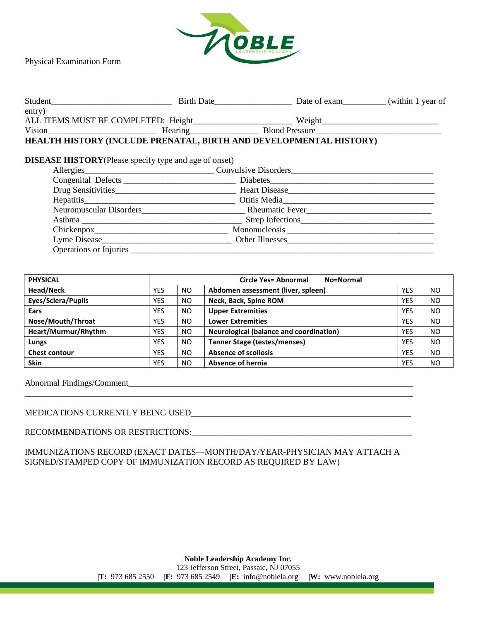

Physical Examination Form

| Student                                                       |                                                                    |  |
|---------------------------------------------------------------|--------------------------------------------------------------------|--|
| entry)                                                        |                                                                    |  |
|                                                               |                                                                    |  |
|                                                               |                                                                    |  |
|                                                               | HEALTH HISTORY (INCLUDE PRENATAL, BIRTH AND DEVELOPMENTAL HISTORY) |  |
|                                                               |                                                                    |  |
| <b>DISEASE HISTORY</b> (Please specify type and age of onset) |                                                                    |  |
|                                                               |                                                                    |  |
|                                                               |                                                                    |  |
|                                                               | Drug Sensitivities Heart Disease Heart Disease                     |  |
|                                                               |                                                                    |  |
|                                                               |                                                                    |  |
|                                                               |                                                                    |  |
|                                                               |                                                                    |  |
|                                                               | Lyme Disease <b>Other Illnesses Other Illnesses</b>                |  |
| <b>Operations or Injuries</b>                                 |                                                                    |  |

| <b>PHYSICAL</b>      |            |           | Circle Yes= Abnormal<br>No=Normal              |            |           |
|----------------------|------------|-----------|------------------------------------------------|------------|-----------|
| Head/Neck            | YES        | <b>NO</b> | Abdomen assessment (liver, spleen)             | <b>YES</b> | <b>NO</b> |
| Eyes/Sclera/Pupils   | YES        | <b>NO</b> | Neck, Back, Spine ROM                          | <b>YES</b> | <b>NO</b> |
| Ears                 | YES        | <b>NO</b> | <b>Upper Extremities</b>                       | <b>YES</b> | <b>NO</b> |
| Nose/Mouth/Throat    | YES        | <b>NO</b> | <b>Lower Extremities</b>                       | <b>YES</b> | <b>NO</b> |
| Heart/Murmur/Rhythm  | <b>YES</b> | <b>NO</b> | <b>Neurological (balance and coordination)</b> | <b>YES</b> | <b>NO</b> |
| Lungs                | YES        | <b>NO</b> | <b>Tanner Stage (testes/menses)</b>            | <b>YES</b> | <b>NO</b> |
| <b>Chest contour</b> | <b>YES</b> | <b>NO</b> | <b>Absence of scoliosis</b>                    | <b>YES</b> | <b>NO</b> |
| <b>Skin</b>          | YES        | <b>NO</b> | Absence of hernia                              | <b>YES</b> | <b>NO</b> |

Abnormal Findings/Comment\_\_\_\_\_\_\_\_\_\_\_\_\_\_\_\_\_\_\_\_\_\_\_\_\_\_\_\_\_\_\_\_\_\_\_\_\_\_\_\_\_\_\_\_\_\_\_\_\_\_\_\_\_\_\_\_\_\_\_\_\_\_\_\_\_\_

## MEDICATIONS CURRENTLY BEING USED\_\_\_\_\_\_\_\_\_\_\_\_\_\_\_\_\_\_\_\_\_\_\_\_\_\_\_\_\_\_\_\_\_\_\_\_\_\_\_\_\_\_\_\_\_\_\_\_\_\_\_

## RECOMMENDATIONS OR RESTRICTIONS:\_\_\_\_\_\_\_\_\_\_\_\_\_\_\_\_\_\_\_\_\_\_\_\_\_\_\_\_\_\_\_\_\_\_\_\_\_\_\_\_\_\_\_\_\_\_\_\_\_\_\_

IMMUNIZATIONS RECORD (EXACT DATES—MONTH/DAY/YEAR-PHYSICIAN MAY ATTACH A SIGNED/STAMPED COPY OF IMMUNIZATION RECORD AS REQUIRED BY LAW)

\_\_\_\_\_\_\_\_\_\_\_\_\_\_\_\_\_\_\_\_\_\_\_\_\_\_\_\_\_\_\_\_\_\_\_\_\_\_\_\_\_\_\_\_\_\_\_\_\_\_\_\_\_\_\_\_\_\_\_\_\_\_\_\_\_\_\_\_\_\_\_\_\_\_\_\_\_\_\_\_\_\_\_\_\_\_\_\_\_\_